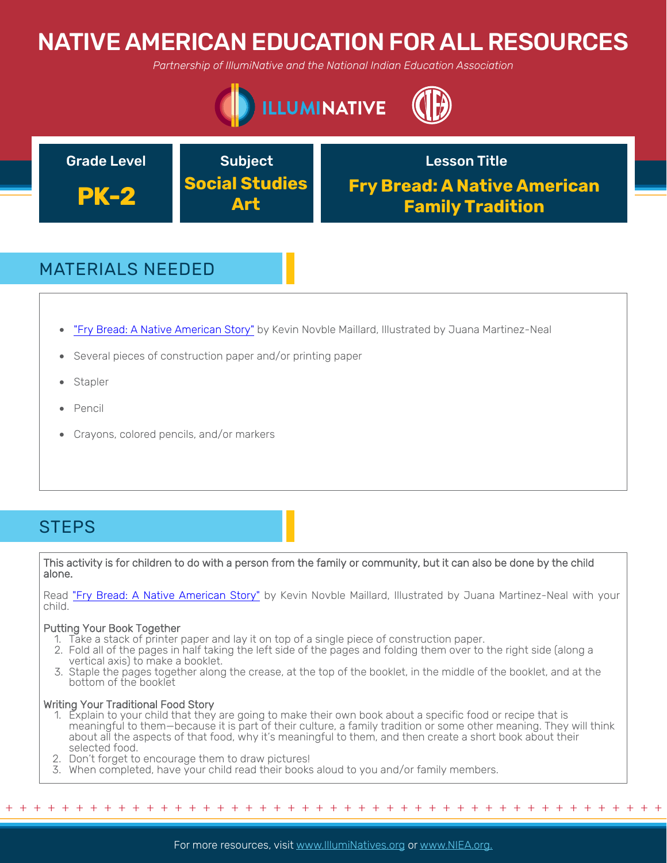# NATIVE AMERICAN EDUCATION FOR ALL RESOURCES

*Partnership of IllumiNative and the National Indian Education Association*





# MATERIALS NEEDED

- "Fry Bread: A Native American Story" by Kevin Novble Maillard, Illustrated by Juana Martinez-Neal
- Several pieces of construction paper and/or printing paper
- **Stapler**
- Pencil
- Crayons, colored pencils, and/or markers

### **STEPS**

This activity is for children to do with a person from the family or community, but it can also be done by the child alone.

Read "Fry Bread: A Native American Story" by Kevin Novble Maillard, Illustrated by Juana Martinez-Neal with your child.

#### Putting Your Book Together

- 1. Take a stack of printer paper and lay it on top of a single piece of construction paper.
- 2. Fold all of the pages in half taking the left side of the pages and folding them over to the right side (along a vertical axis) to make a booklet.
- 3. Staple the pages together along the crease, at the top of the booklet, in the middle of the booklet, and at the bottom of the booklet

#### Writing Your Traditional Food Story

1. Explain to your child that they are going to make their own book about a specific food or recipe that is meaningful to them—because it is part of their culture, a family tradition or some other meaning. They will think about all the aspects of that food, why it's meaningful to them, and then create a short book about their selected food.

+ + + + + + + + + + + + + + + + + + + + + + + + + + + + + + + + + + + + + + + + + + + + + + + +

- 2. Don't forget to encourage them to draw pictures!
- 3. When completed, have your child read their books aloud to you and/or family members.

For more resources, visit www.lllumiNatives.org or www.NIEA.org.